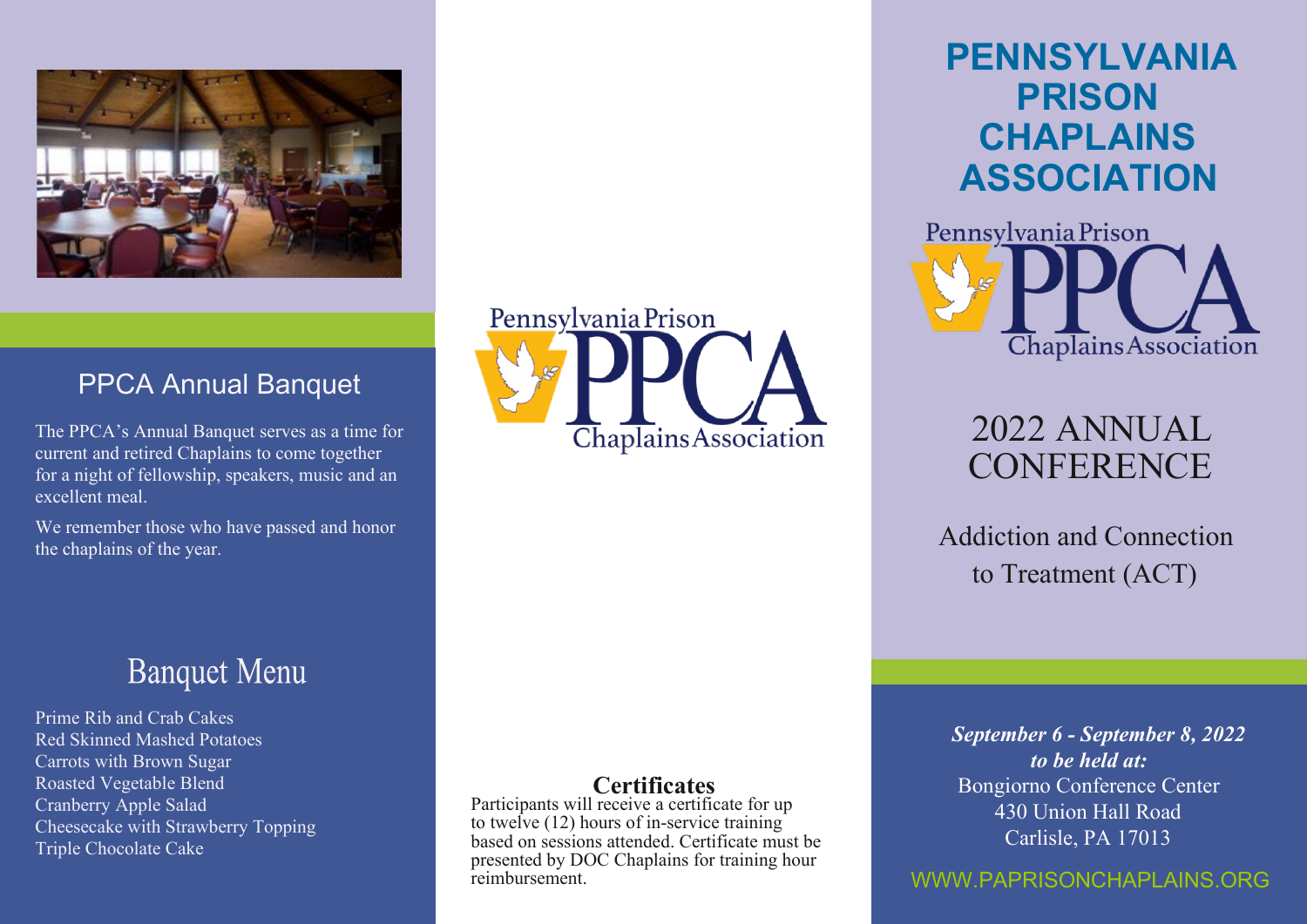

### PPCA Annual Banquet

The PPCA's Annual Banquet serves as a time for current and retired Chaplains to come together for a night of fellowship, speakers, music and an excellent meal.

We remember those who have passed and honor the chaplains of the year.

## **Banquet Menu**

Prime Rib and Crab Cakes Red Skinned Mashed Potatoes Carrots with Brown Sugar Roasted Vegetable Blend Cranberry Apple Salad Cheesecake with Strawberry Topping Triple Chocolate Cake



# **PENNSYLVANIA PRISON CHAPLAINS ASSOCIATION**



# 2022 ANNUAL **CONFERENCE**

 Addiction and Connection to Treatment (ACT)

### **Certificates**

Participants will receive a certificate for up to twelve (12) hours of in-service training based on sessions attended. Certificate must be presented by DOC Chaplains for training hour reimbursement.

*September 6 - September 8, 2022 to be held at:* Bongiorno Conference Center 430 Union Hall Road Carlisle, PA 17013

### WWW.PAPRISONCHAPLAINS.ORG